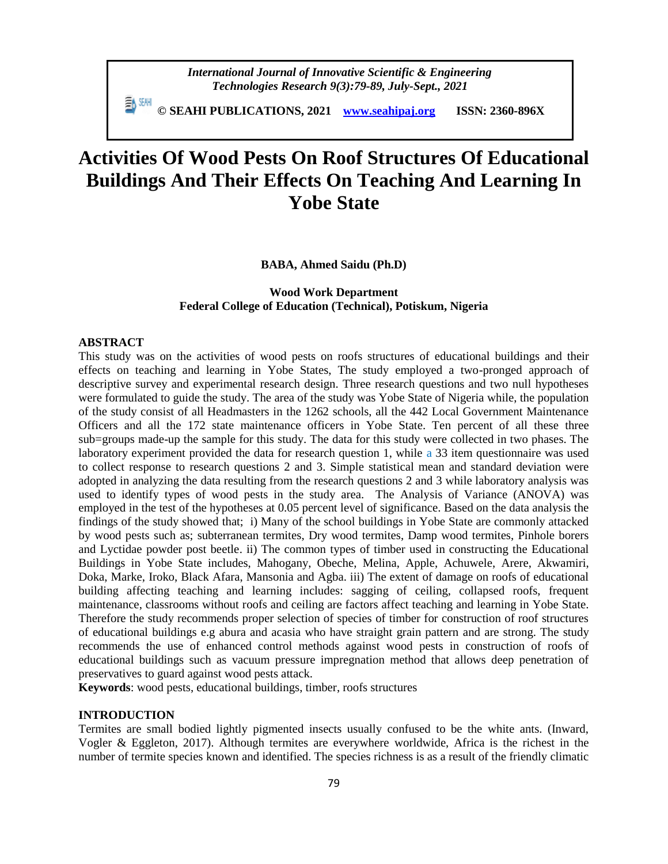**© SEAHI PUBLICATIONS, 2021 [www.seahipaj.org](http://www.seahipaj.org/) ISSN: 2360-896X**

# **Activities Of Wood Pests On Roof Structures Of Educational Buildings And Their Effects On Teaching And Learning In Yobe State**

**BABA, Ahmed Saidu (Ph.D)**

# **Wood Work Department Federal College of Education (Technical), Potiskum, Nigeria**

# **ABSTRACT**

This study was on the activities of wood pests on roofs structures of educational buildings and their effects on teaching and learning in Yobe States, The study employed a two-pronged approach of descriptive survey and experimental research design. Three research questions and two null hypotheses were formulated to guide the study. The area of the study was Yobe State of Nigeria while, the population of the study consist of all Headmasters in the 1262 schools, all the 442 Local Government Maintenance Officers and all the 172 state maintenance officers in Yobe State. Ten percent of all these three sub=groups made-up the sample for this study. The data for this study were collected in two phases. The laboratory experiment provided the data for research question 1, while a 33 item questionnaire was used to collect response to research questions 2 and 3. Simple statistical mean and standard deviation were adopted in analyzing the data resulting from the research questions 2 and 3 while laboratory analysis was used to identify types of wood pests in the study area. The Analysis of Variance (ANOVA) was employed in the test of the hypotheses at 0.05 percent level of significance. Based on the data analysis the findings of the study showed that; i) Many of the school buildings in Yobe State are commonly attacked by wood pests such as; subterranean termites, Dry wood termites, Damp wood termites, Pinhole borers and Lyctidae powder post beetle. ii) The common types of timber used in constructing the Educational Buildings in Yobe State includes, Mahogany, Obeche, Melina, Apple, Achuwele, Arere, Akwamiri, Doka, Marke, Iroko, Black Afara, Mansonia and Agba. iii) The extent of damage on roofs of educational building affecting teaching and learning includes: sagging of ceiling, collapsed roofs, frequent maintenance, classrooms without roofs and ceiling are factors affect teaching and learning in Yobe State. Therefore the study recommends proper selection of species of timber for construction of roof structures of educational buildings e.g abura and acasia who have straight grain pattern and are strong. The study recommends the use of enhanced control methods against wood pests in construction of roofs of educational buildings such as vacuum pressure impregnation method that allows deep penetration of preservatives to guard against wood pests attack.

**Keywords**: wood pests, educational buildings, timber, roofs structures

# **INTRODUCTION**

Termites are small bodied lightly pigmented insects usually confused to be the white ants. (Inward, Vogler & Eggleton, 2017). Although termites are everywhere worldwide, Africa is the richest in the number of termite species known and identified. The species richness is as a result of the friendly climatic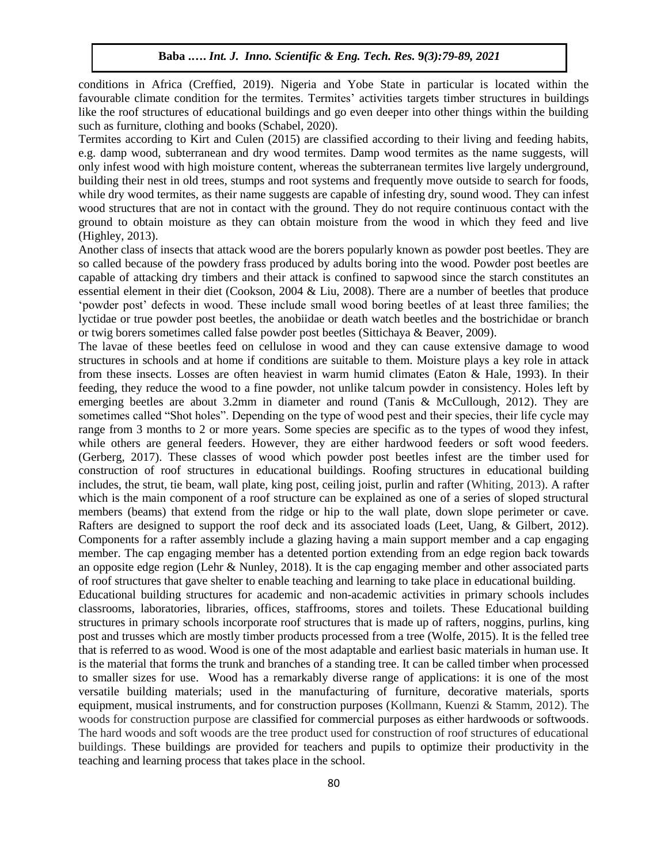conditions in Africa (Creffied, 2019). Nigeria and Yobe State in particular is located within the favourable climate condition for the termites. Termites' activities targets timber structures in buildings like the roof structures of educational buildings and go even deeper into other things within the building such as furniture, clothing and books (Schabel, 2020).

Termites according to Kirt and Culen (2015) are classified according to their living and feeding habits, e.g. damp wood, subterranean and dry wood termites. Damp wood termites as the name suggests, will only infest wood with high moisture content, whereas the subterranean termites live largely underground, building their nest in old trees, stumps and root systems and frequently move outside to search for foods, while dry wood termites, as their name suggests are capable of infesting dry, sound wood. They can infest wood structures that are not in contact with the ground. They do not require continuous contact with the ground to obtain moisture as they can obtain moisture from the wood in which they feed and live (Highley, 2013).

Another class of insects that attack wood are the borers popularly known as powder post beetles. They are so called because of the powdery frass produced by adults boring into the wood. Powder post beetles are capable of attacking dry timbers and their attack is confined to sapwood since the starch constitutes an essential element in their diet (Cookson, 2004 & Liu, 2008). There are a number of beetles that produce 'powder post' defects in wood. These include small wood boring beetles of at least three families; the lyctidae or true powder post beetles, the anobiidae or death watch beetles and the bostrichidae or branch or twig borers sometimes called false powder post beetles (Sittichaya & Beaver, 2009).

The lavae of these beetles feed on cellulose in wood and they can cause extensive damage to wood structures in schools and at home if conditions are suitable to them. Moisture plays a key role in attack from these insects. Losses are often heaviest in warm humid climates (Eaton & Hale, 1993). In their feeding, they reduce the wood to a fine powder, not unlike talcum powder in consistency. Holes left by emerging beetles are about 3.2mm in diameter and round (Tanis & McCullough, 2012). They are sometimes called "Shot holes". Depending on the type of wood pest and their species, their life cycle may range from 3 months to 2 or more years. Some species are specific as to the types of wood they infest, while others are general feeders. However, they are either hardwood feeders or soft wood feeders. (Gerberg, 2017). These classes of wood which powder post beetles infest are the timber used for construction of roof structures in educational buildings. Roofing structures in educational building includes, the strut, tie beam, wall plate, king post, ceiling joist, purlin and rafter (Whiting, 2013). A rafter which is the main component of a roof structure can be explained as one of a series of sloped structural members (beams) that extend from the ridge or hip to the wall plate, down slope perimeter or cave. Rafters are designed to support the roof deck and its associated loads (Leet, Uang, & Gilbert, 2012). Components for a rafter assembly include a glazing having a main support member and a cap engaging member. The cap engaging member has a detented portion extending from an edge region back towards an opposite edge region (Lehr & Nunley, 2018). It is the cap engaging member and other associated parts of roof structures that gave shelter to enable teaching and learning to take place in educational building.

Educational building structures for academic and non-academic activities in primary schools includes classrooms, laboratories, libraries, offices, staffrooms, stores and toilets. These Educational building structures in primary schools incorporate roof structures that is made up of rafters, noggins, purlins, king post and trusses which are mostly timber products processed from a tree (Wolfe, 2015). It is the felled tree that is referred to as wood. Wood is one of the most adaptable and earliest basic materials in human use. It is the material that forms the trunk and branches of a standing tree. It can be called timber when processed to smaller sizes for use. Wood has a remarkably diverse range of applications: it is one of the most versatile building materials; used in the manufacturing of furniture, decorative materials, sports equipment, musical instruments, and for construction purposes (Kollmann, Kuenzi & Stamm, 2012). The woods for construction purpose are classified for commercial purposes as either hardwoods or softwoods. The hard woods and soft woods are the tree product used for construction of roof structures of educational buildings. These buildings are provided for teachers and pupils to optimize their productivity in the teaching and learning process that takes place in the school.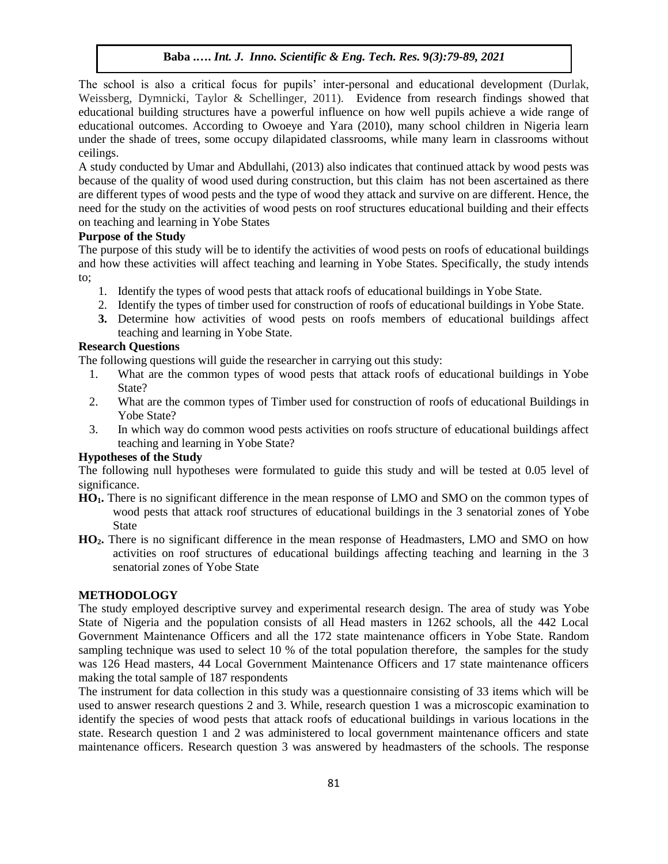The school is also a critical focus for pupils' inter-personal and educational development (Durlak, Weissberg, Dymnicki, Taylor & Schellinger, 2011). Evidence from research findings showed that educational building structures have a powerful influence on how well pupils achieve a wide range of educational outcomes. According to Owoeye and Yara (2010), many school children in Nigeria learn under the shade of trees, some occupy dilapidated classrooms, while many learn in classrooms without ceilings.

A study conducted by Umar and Abdullahi, (2013) also indicates that continued attack by wood pests was because of the quality of wood used during construction, but this claim has not been ascertained as there are different types of wood pests and the type of wood they attack and survive on are different. Hence, the need for the study on the activities of wood pests on roof structures educational building and their effects on teaching and learning in Yobe States

# **Purpose of the Study**

The purpose of this study will be to identify the activities of wood pests on roofs of educational buildings and how these activities will affect teaching and learning in Yobe States. Specifically, the study intends to;

- 1. Identify the types of wood pests that attack roofs of educational buildings in Yobe State.
- 2. Identify the types of timber used for construction of roofs of educational buildings in Yobe State.
- **3.** Determine how activities of wood pests on roofs members of educational buildings affect teaching and learning in Yobe State.

# **Research Questions**

The following questions will guide the researcher in carrying out this study:

- 1. What are the common types of wood pests that attack roofs of educational buildings in Yobe State?
- 2. What are the common types of Timber used for construction of roofs of educational Buildings in Yobe State?
- 3. In which way do common wood pests activities on roofs structure of educational buildings affect teaching and learning in Yobe State?

# **Hypotheses of the Study**

The following null hypotheses were formulated to guide this study and will be tested at 0.05 level of significance.

- **HO1.** There is no significant difference in the mean response of LMO and SMO on the common types of wood pests that attack roof structures of educational buildings in the 3 senatorial zones of Yobe State
- **HO2.** There is no significant difference in the mean response of Headmasters, LMO and SMO on how activities on roof structures of educational buildings affecting teaching and learning in the 3 senatorial zones of Yobe State

# **METHODOLOGY**

The study employed descriptive survey and experimental research design. The area of study was Yobe State of Nigeria and the population consists of all Head masters in 1262 schools, all the 442 Local Government Maintenance Officers and all the 172 state maintenance officers in Yobe State. Random sampling technique was used to select 10 % of the total population therefore, the samples for the study was 126 Head masters, 44 Local Government Maintenance Officers and 17 state maintenance officers making the total sample of 187 respondents

The instrument for data collection in this study was a questionnaire consisting of 33 items which will be used to answer research questions 2 and 3. While, research question 1 was a microscopic examination to identify the species of wood pests that attack roofs of educational buildings in various locations in the state. Research question 1 and 2 was administered to local government maintenance officers and state maintenance officers. Research question 3 was answered by headmasters of the schools. The response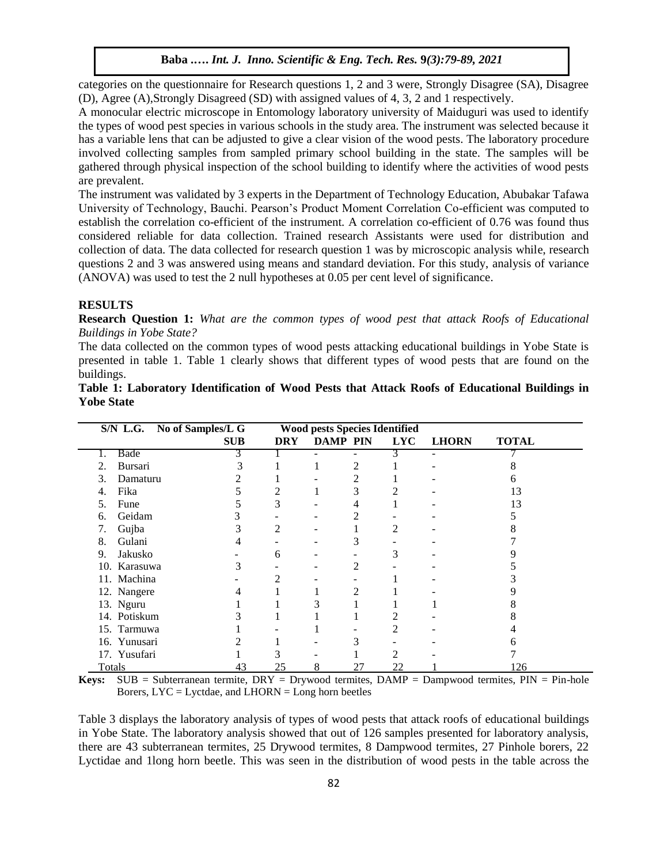categories on the questionnaire for Research questions 1, 2 and 3 were, Strongly Disagree (SA), Disagree (D), Agree (A),Strongly Disagreed (SD) with assigned values of 4, 3, 2 and 1 respectively.

A monocular electric microscope in Entomology laboratory university of Maiduguri was used to identify the types of wood pest species in various schools in the study area. The instrument was selected because it has a variable lens that can be adjusted to give a clear vision of the wood pests. The laboratory procedure involved collecting samples from sampled primary school building in the state. The samples will be gathered through physical inspection of the school building to identify where the activities of wood pests are prevalent.

The instrument was validated by 3 experts in the Department of Technology Education, Abubakar Tafawa University of Technology, Bauchi. Pearson's Product Moment Correlation Co-efficient was computed to establish the correlation co-efficient of the instrument. A correlation co-efficient of 0.76 was found thus considered reliable for data collection. Trained research Assistants were used for distribution and collection of data. The data collected for research question 1 was by microscopic analysis while, research questions 2 and 3 was answered using means and standard deviation. For this study, analysis of variance (ANOVA) was used to test the 2 null hypotheses at 0.05 per cent level of significance.

#### **RESULTS**

**Research Question 1:** *What are the common types of wood pest that attack Roofs of Educational Buildings in Yobe State?*

The data collected on the common types of wood pests attacking educational buildings in Yobe State is presented in table 1. Table 1 clearly shows that different types of wood pests that are found on the buildings.

|                | S/N L.G. No of Samples/L G<br><b>Wood pests Species Identified</b> |            |   |                 |            |              |              |  |  |  |
|----------------|--------------------------------------------------------------------|------------|---|-----------------|------------|--------------|--------------|--|--|--|
|                | <b>SUB</b>                                                         | <b>DRY</b> |   | <b>DAMP PIN</b> | <b>LYC</b> | <b>LHORN</b> | <b>TOTAL</b> |  |  |  |
| Bade<br>1.     | 3                                                                  |            |   |                 | 3          | ÷,           |              |  |  |  |
| Bursari<br>2.  |                                                                    |            | 1 | 2               |            |              |              |  |  |  |
| Damaturu<br>3. |                                                                    |            |   | 2               |            |              |              |  |  |  |
| Fika<br>4.     |                                                                    | 2          |   | 3               |            |              | 13           |  |  |  |
| Fune<br>5.     |                                                                    | 3          |   | 4               |            |              | 13           |  |  |  |
| Geidam<br>6.   |                                                                    |            |   | 2               |            |              |              |  |  |  |
| Gujba<br>7.    |                                                                    | 2          |   |                 | 2          |              |              |  |  |  |
| Gulani<br>8.   |                                                                    |            |   | 3               |            |              |              |  |  |  |
| Jakusko<br>9.  |                                                                    | 6          |   |                 | 3          |              |              |  |  |  |
| 10. Karasuwa   |                                                                    |            |   | 2               |            |              |              |  |  |  |
| 11. Machina    |                                                                    | 2          |   |                 |            |              |              |  |  |  |
| 12. Nangere    |                                                                    |            |   | 2               |            |              |              |  |  |  |
| 13. Nguru      |                                                                    |            | 3 |                 |            |              |              |  |  |  |
| 14. Potiskum   |                                                                    |            |   |                 | 2          |              |              |  |  |  |
| 15. Tarmuwa    |                                                                    |            |   |                 |            |              |              |  |  |  |
| 16. Yunusari   |                                                                    |            |   | 3               |            |              |              |  |  |  |
| 17. Yusufari   |                                                                    |            |   |                 |            |              |              |  |  |  |
| Totals         | 43                                                                 | 25         | 8 | 27              | 22         |              | 126          |  |  |  |

**Table 1: Laboratory Identification of Wood Pests that Attack Roofs of Educational Buildings in Yobe State**

**Keys:** SUB = Subterranean termite, DRY = Drywood termites, DAMP = Dampwood termites, PIN = Pin-hole Borers,  $\text{LYC} = \text{Lyctdae}$ , and  $\text{LHORN} = \text{Long}$  horn beetles

Table 3 displays the laboratory analysis of types of wood pests that attack roofs of educational buildings in Yobe State. The laboratory analysis showed that out of 126 samples presented for laboratory analysis, there are 43 subterranean termites, 25 Drywood termites, 8 Dampwood termites, 27 Pinhole borers, 22 Lyctidae and 1long horn beetle. This was seen in the distribution of wood pests in the table across the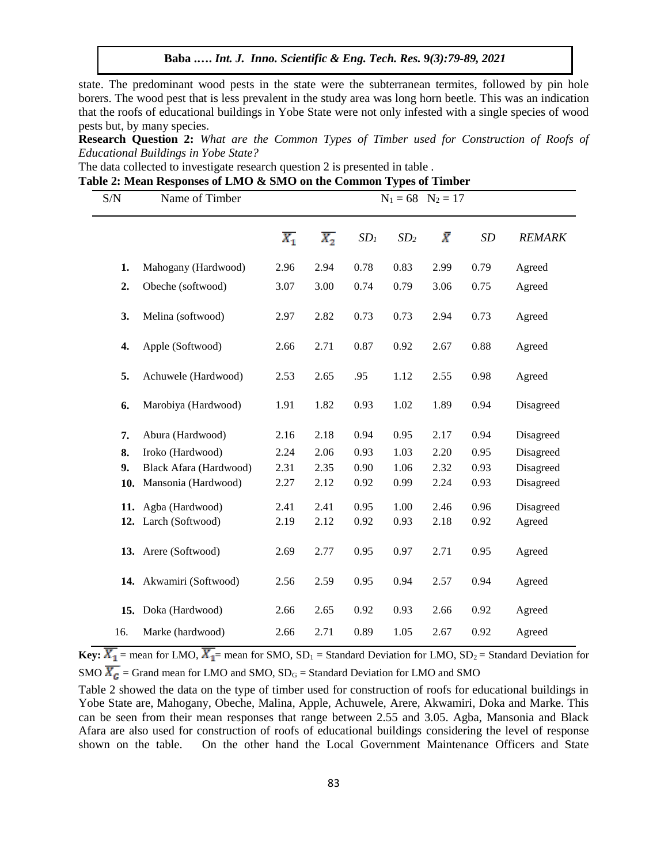state. The predominant wood pests in the state were the subterranean termites, followed by pin hole borers. The wood pest that is less prevalent in the study area was long horn beetle. This was an indication that the roofs of educational buildings in Yobe State were not only infested with a single species of wood pests but, by many species.

**Research Question 2:** *What are the Common Types of Timber used for Construction of Roofs of Educational Buildings in Yobe State?*

The data collected to investigate research question 2 is presented in table .

|  |  |  |  |  |  |  | Table 2: Mean Responses of LMO & SMO on the Common Types of Timber |
|--|--|--|--|--|--|--|--------------------------------------------------------------------|
|--|--|--|--|--|--|--|--------------------------------------------------------------------|

| S/N | Name of Timber          |                  |                  | $N_1 = 68$ $N_2 = 17$ |                 |           |      |               |
|-----|-------------------------|------------------|------------------|-----------------------|-----------------|-----------|------|---------------|
|     |                         | $\overline{X_1}$ | $\overline{X_2}$ | SD <sub>1</sub>       | SD <sub>2</sub> | $\bar{X}$ | SD   | <b>REMARK</b> |
| 1.  | Mahogany (Hardwood)     | 2.96             | 2.94             | 0.78                  | 0.83            | 2.99      | 0.79 | Agreed        |
| 2.  | Obeche (softwood)       | 3.07             | 3.00             | 0.74                  | 0.79            | 3.06      | 0.75 | Agreed        |
| 3.  | Melina (softwood)       | 2.97             | 2.82             | 0.73                  | 0.73            | 2.94      | 0.73 | Agreed        |
| 4.  | Apple (Softwood)        | 2.66             | 2.71             | 0.87                  | 0.92            | 2.67      | 0.88 | Agreed        |
| 5.  | Achuwele (Hardwood)     | 2.53             | 2.65             | .95                   | 1.12            | 2.55      | 0.98 | Agreed        |
| 6.  | Marobiya (Hardwood)     | 1.91             | 1.82             | 0.93                  | 1.02            | 1.89      | 0.94 | Disagreed     |
| 7.  | Abura (Hardwood)        | 2.16             | 2.18             | 0.94                  | 0.95            | 2.17      | 0.94 | Disagreed     |
| 8.  | Iroko (Hardwood)        | 2.24             | 2.06             | 0.93                  | 1.03            | 2.20      | 0.95 | Disagreed     |
| 9.  | Black Afara (Hardwood)  | 2.31             | 2.35             | 0.90                  | 1.06            | 2.32      | 0.93 | Disagreed     |
| 10. | Mansonia (Hardwood)     | 2.27             | 2.12             | 0.92                  | 0.99            | 2.24      | 0.93 | Disagreed     |
| 11. | Agba (Hardwood)         | 2.41             | 2.41             | 0.95                  | 1.00            | 2.46      | 0.96 | Disagreed     |
|     | 12. Larch (Softwood)    | 2.19             | 2.12             | 0.92                  | 0.93            | 2.18      | 0.92 | Agreed        |
|     | 13. Arere (Softwood)    | 2.69             | 2.77             | 0.95                  | 0.97            | 2.71      | 0.95 | Agreed        |
|     | 14. Akwamiri (Softwood) | 2.56             | 2.59             | 0.95                  | 0.94            | 2.57      | 0.94 | Agreed        |
| 15. | Doka (Hardwood)         | 2.66             | 2.65             | 0.92                  | 0.93            | 2.66      | 0.92 | Agreed        |
| 16. | Marke (hardwood)        | 2.66             | 2.71             | 0.89                  | 1.05            | 2.67      | 0.92 | Agreed        |

**Key:**  $\overline{X_1}$  = mean for LMO,  $\overline{X_1}$  = mean for SMO, SD<sub>1</sub> = Standard Deviation for LMO, SD<sub>2</sub> = Standard Deviation for SMO  $\overline{X_G}$  = Grand mean for LMO and SMO, SD<sub>G</sub> = Standard Deviation for LMO and SMO

Table 2 showed the data on the type of timber used for construction of roofs for educational buildings in Yobe State are, Mahogany, Obeche, Malina, Apple, Achuwele, Arere, Akwamiri, Doka and Marke. This can be seen from their mean responses that range between 2.55 and 3.05. Agba, Mansonia and Black Afara are also used for construction of roofs of educational buildings considering the level of response shown on the table. On the other hand the Local Government Maintenance Officers and State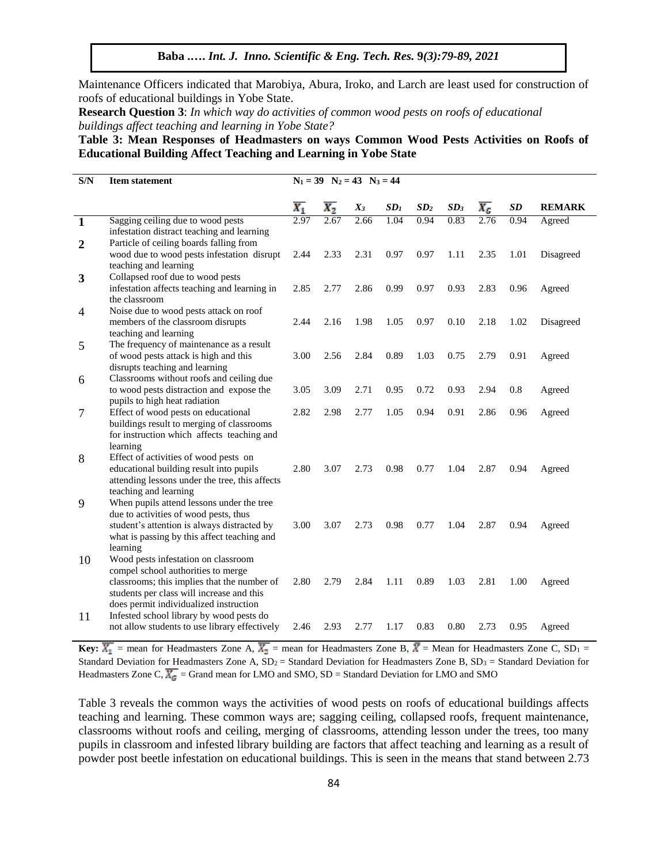Maintenance Officers indicated that Marobiya, Abura, Iroko, and Larch are least used for construction of roofs of educational buildings in Yobe State.

**Research Question 3**: *In which way do activities of common wood pests on roofs of educational buildings affect teaching and learning in Yobe State?*

**Table 3: Mean Responses of Headmasters on ways Common Wood Pests Activities on Roofs of Educational Building Affect Teaching and Learning in Yobe State**

| S/N                     | <b>Item statement</b>                                                                   | $N_1 = 39$ $N_2 = 43$ $N_3 = 44$ |                  |       |                 |                 |                 |                  |           |               |  |
|-------------------------|-----------------------------------------------------------------------------------------|----------------------------------|------------------|-------|-----------------|-----------------|-----------------|------------------|-----------|---------------|--|
|                         |                                                                                         | $\overline{X_1}$                 | $\overline{X_2}$ | $X_3$ | SD <sub>I</sub> | SD <sub>2</sub> | SD <sub>3</sub> | $\overline{X_G}$ | <b>SD</b> | <b>REMARK</b> |  |
| $\overline{\mathbf{1}}$ | Sagging ceiling due to wood pests                                                       |                                  | 2.67             | 2.66  | 1.04            | 0.94            | 0.83            | 2.76             | 0.94      | Agreed        |  |
|                         | infestation distract teaching and learning                                              |                                  |                  |       |                 |                 |                 |                  |           |               |  |
| $\boldsymbol{2}$        | Particle of ceiling boards falling from<br>wood due to wood pests infestation disrupt   | 2.44                             | 2.33             | 2.31  | 0.97            | 0.97            | 1.11            | 2.35             | 1.01      | Disagreed     |  |
|                         | teaching and learning                                                                   |                                  |                  |       |                 |                 |                 |                  |           |               |  |
| 3                       | Collapsed roof due to wood pests                                                        |                                  |                  |       |                 |                 |                 |                  |           |               |  |
|                         | infestation affects teaching and learning in                                            | 2.85                             | 2.77             | 2.86  | 0.99            | 0.97            | 0.93            | 2.83             | 0.96      | Agreed        |  |
|                         | the classroom                                                                           |                                  |                  |       |                 |                 |                 |                  |           |               |  |
| 4                       | Noise due to wood pests attack on roof                                                  |                                  |                  |       |                 |                 |                 |                  |           |               |  |
|                         | members of the classroom disrupts                                                       | 2.44                             | 2.16             | 1.98  | 1.05            | 0.97            | 0.10            | 2.18             | 1.02      | Disagreed     |  |
|                         | teaching and learning                                                                   |                                  |                  |       |                 |                 |                 |                  |           |               |  |
| 5                       | The frequency of maintenance as a result                                                |                                  |                  |       |                 |                 |                 |                  |           |               |  |
|                         | of wood pests attack is high and this                                                   | 3.00                             | 2.56             | 2.84  | 0.89            | 1.03            | 0.75            | 2.79             | 0.91      | Agreed        |  |
|                         | disrupts teaching and learning                                                          |                                  |                  |       |                 |                 |                 |                  |           |               |  |
| 6                       | Classrooms without roofs and ceiling due                                                |                                  |                  |       |                 |                 |                 |                  |           |               |  |
|                         | to wood pests distraction and expose the                                                | 3.05                             | 3.09             | 2.71  | 0.95            | 0.72            | 0.93            | 2.94             | 0.8       | Agreed        |  |
|                         | pupils to high heat radiation                                                           | 2.82                             |                  |       |                 |                 |                 |                  |           |               |  |
| $\tau$                  | Effect of wood pests on educational                                                     |                                  | 2.98             | 2.77  | 1.05            | 0.94            | 0.91            | 2.86             | 0.96      | Agreed        |  |
|                         | buildings result to merging of classrooms<br>for instruction which affects teaching and |                                  |                  |       |                 |                 |                 |                  |           |               |  |
|                         | learning                                                                                |                                  |                  |       |                 |                 |                 |                  |           |               |  |
| 8                       | Effect of activities of wood pests on                                                   |                                  |                  |       |                 |                 |                 |                  |           |               |  |
|                         | educational building result into pupils                                                 | 2.80                             | 3.07             | 2.73  | 0.98            | 0.77            | 1.04            | 2.87             | 0.94      | Agreed        |  |
|                         | attending lessons under the tree, this affects                                          |                                  |                  |       |                 |                 |                 |                  |           |               |  |
|                         | teaching and learning                                                                   |                                  |                  |       |                 |                 |                 |                  |           |               |  |
| 9                       | When pupils attend lessons under the tree                                               |                                  |                  |       |                 |                 |                 |                  |           |               |  |
|                         | due to activities of wood pests, thus                                                   |                                  |                  |       |                 |                 |                 |                  |           |               |  |
|                         | student's attention is always distracted by                                             | 3.00                             | 3.07             | 2.73  | 0.98            | 0.77            | 1.04            | 2.87             | 0.94      | Agreed        |  |
|                         | what is passing by this affect teaching and                                             |                                  |                  |       |                 |                 |                 |                  |           |               |  |
|                         | learning                                                                                |                                  |                  |       |                 |                 |                 |                  |           |               |  |
| 10                      | Wood pests infestation on classroom                                                     |                                  |                  |       |                 |                 |                 |                  |           |               |  |
|                         | compel school authorities to merge                                                      |                                  |                  |       |                 |                 |                 |                  |           |               |  |
|                         | classrooms; this implies that the number of                                             | 2.80                             | 2.79             | 2.84  | 1.11            | 0.89            | 1.03            | 2.81             | 1.00      | Agreed        |  |
|                         | students per class will increase and this<br>does permit individualized instruction     |                                  |                  |       |                 |                 |                 |                  |           |               |  |
| 11                      | Infested school library by wood pests do                                                |                                  |                  |       |                 |                 |                 |                  |           |               |  |
|                         | not allow students to use library effectively                                           | 2.46                             | 2.93             | 2.77  | 1.17            | 0.83            | 0.80            | 2.73             | 0.95      | Agreed        |  |
|                         |                                                                                         |                                  |                  |       |                 |                 |                 |                  |           |               |  |

**Key:**  $\overline{X_1}$  = mean for Headmasters Zone A,  $\overline{X_2}$  = mean for Headmasters Zone B,  $\overline{X}$  = Mean for Headmasters Zone C, SD<sub>1</sub> = Standard Deviation for Headmasters Zone A,  $SD_2$  = Standard Deviation for Headmasters Zone B,  $SD_3$  = Standard Deviation for Headmasters Zone C,  $\overline{X_G}$  = Grand mean for LMO and SMO, SD = Standard Deviation for LMO and SMO

Table 3 reveals the common ways the activities of wood pests on roofs of educational buildings affects teaching and learning. These common ways are; sagging ceiling, collapsed roofs, frequent maintenance, classrooms without roofs and ceiling, merging of classrooms, attending lesson under the trees, too many pupils in classroom and infested library building are factors that affect teaching and learning as a result of powder post beetle infestation on educational buildings. This is seen in the means that stand between 2.73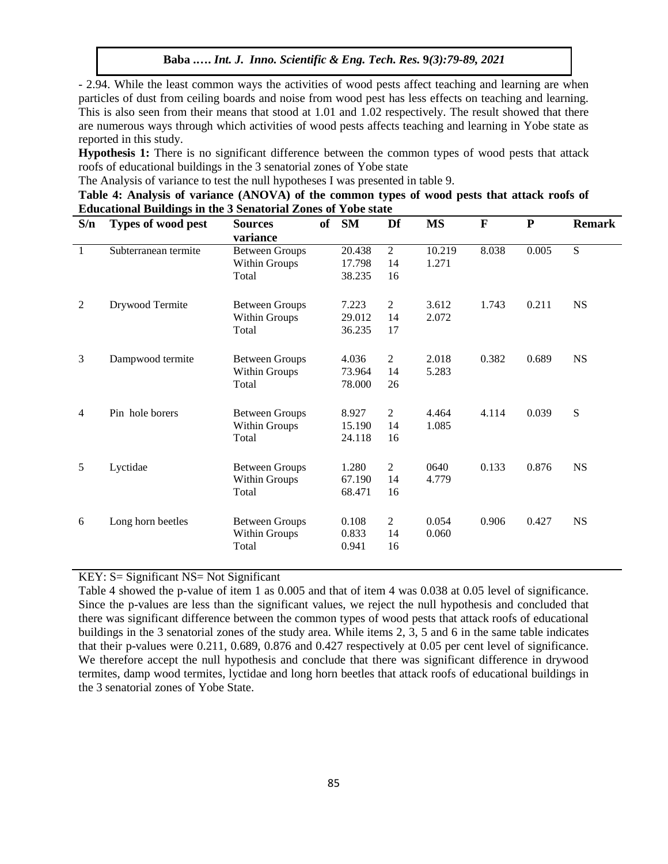- 2.94. While the least common ways the activities of wood pests affect teaching and learning are when particles of dust from ceiling boards and noise from wood pest has less effects on teaching and learning. This is also seen from their means that stood at 1.01 and 1.02 respectively. The result showed that there are numerous ways through which activities of wood pests affects teaching and learning in Yobe state as reported in this study.

**Hypothesis 1:** There is no significant difference between the common types of wood pests that attack roofs of educational buildings in the 3 senatorial zones of Yobe state

The Analysis of variance to test the null hypotheses I was presented in table 9.

| Table 4: Analysis of variance (ANOVA) of the common types of wood pests that attack roofs of |  |
|----------------------------------------------------------------------------------------------|--|
| <b>Educational Buildings in the 3 Senatorial Zones of Yobe state</b>                         |  |

| S/n            | Types of wood pest   | <b>Sources</b><br>variance | of | <b>SM</b> | Df             | <b>MS</b> | $\mathbf{F}$ | ${\bf P}$ | <b>Remark</b> |
|----------------|----------------------|----------------------------|----|-----------|----------------|-----------|--------------|-----------|---------------|
| $\overline{1}$ | Subterranean termite | <b>Between Groups</b>      |    | 20.438    | $\overline{2}$ | 10.219    | 8.038        | 0.005     | S             |
|                |                      | Within Groups              |    | 17.798    | 14             | 1.271     |              |           |               |
|                |                      | Total                      |    | 38.235    | 16             |           |              |           |               |
| $\overline{2}$ | Drywood Termite      | <b>Between Groups</b>      |    | 7.223     | $\overline{2}$ | 3.612     | 1.743        | 0.211     | <b>NS</b>     |
|                |                      | Within Groups              |    | 29.012    | 14             | 2.072     |              |           |               |
|                |                      | Total                      |    | 36.235    | 17             |           |              |           |               |
| 3              | Dampwood termite     | <b>Between Groups</b>      |    | 4.036     | $\overline{2}$ | 2.018     | 0.382        | 0.689     | <b>NS</b>     |
|                |                      | Within Groups              |    | 73.964    | 14             | 5.283     |              |           |               |
|                |                      | Total                      |    | 78.000    | 26             |           |              |           |               |
| 4              | Pin hole borers      | <b>Between Groups</b>      |    | 8.927     | 2              | 4.464     | 4.114        | 0.039     | ${\bf S}$     |
|                |                      | Within Groups              |    | 15.190    | 14             | 1.085     |              |           |               |
|                |                      | Total                      |    | 24.118    | 16             |           |              |           |               |
| 5              | Lyctidae             | <b>Between Groups</b>      |    | 1.280     | $\overline{2}$ | 0640      | 0.133        | 0.876     | <b>NS</b>     |
|                |                      | Within Groups              |    | 67.190    | 14             | 4.779     |              |           |               |
|                |                      | Total                      |    | 68.471    | 16             |           |              |           |               |
| 6              | Long horn beetles    | <b>Between Groups</b>      |    | 0.108     | $\overline{2}$ | 0.054     | 0.906        | 0.427     | <b>NS</b>     |
|                |                      | Within Groups              |    | 0.833     | 14             | 0.060     |              |           |               |
|                |                      | Total                      |    | 0.941     | 16             |           |              |           |               |

# KEY: S= Significant NS= Not Significant

Table 4 showed the p-value of item 1 as 0.005 and that of item 4 was 0.038 at 0.05 level of significance. Since the p-values are less than the significant values, we reject the null hypothesis and concluded that there was significant difference between the common types of wood pests that attack roofs of educational buildings in the 3 senatorial zones of the study area. While items 2, 3, 5 and 6 in the same table indicates that their p-values were 0.211, 0.689, 0.876 and 0.427 respectively at 0.05 per cent level of significance. We therefore accept the null hypothesis and conclude that there was significant difference in drywood termites, damp wood termites, lyctidae and long horn beetles that attack roofs of educational buildings in the 3 senatorial zones of Yobe State.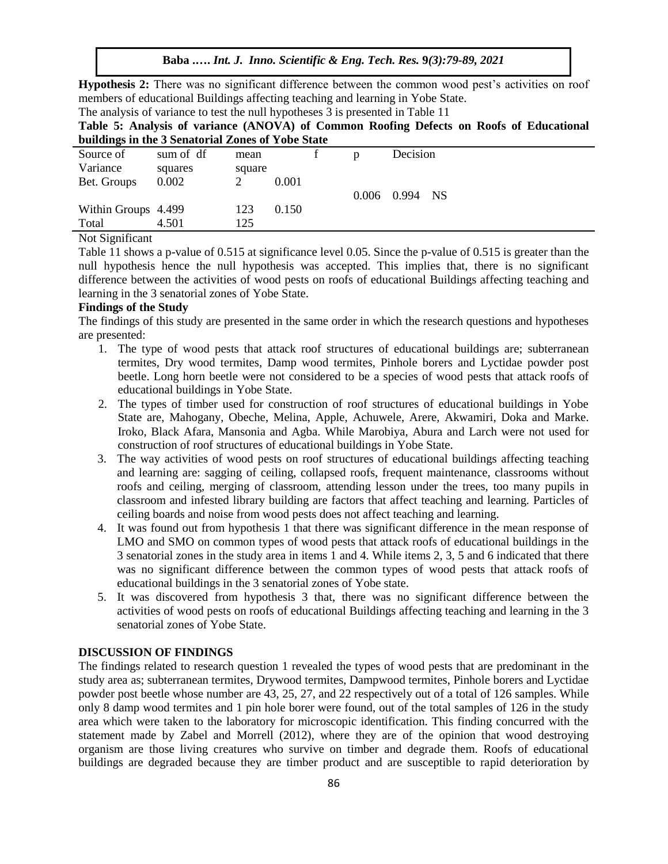**Baba .….** *Int. J. Inno. Scientific & Eng. Tech. Res.* **9***(3):79-89, 2021*

**Hypothesis 2:** There was no significant difference between the common wood pest's activities on roof members of educational Buildings affecting teaching and learning in Yobe State.

|  | The analysis of variance to test the null hypotheses 3 is presented in Table 11 |  |  |  |  |  |  |
|--|---------------------------------------------------------------------------------|--|--|--|--|--|--|
|  |                                                                                 |  |  |  |  |  |  |

|  |  |                                                   |  |  |  | Table 5: Analysis of variance (ANOVA) of Common Roofing Defects on Roofs of Educational |
|--|--|---------------------------------------------------|--|--|--|-----------------------------------------------------------------------------------------|
|  |  | buildings in the 3 Senatorial Zones of Yobe State |  |  |  |                                                                                         |

| o                                                                |           |        |       |   |                |  |
|------------------------------------------------------------------|-----------|--------|-------|---|----------------|--|
| Source of                                                        | sum of df | mean   |       | n | Decision       |  |
| Variance                                                         | squares   | square |       |   |                |  |
| Bet. Groups                                                      | 0.002     |        | 0.001 |   |                |  |
|                                                                  |           |        |       |   | 0.006 0.994 NS |  |
| Within Groups 4.499                                              |           | 123    | 0.150 |   |                |  |
| Total                                                            | 4.501     | 125    |       |   |                |  |
| $\mathbf{M}$ $\mathbf{M}$ $\mathbf{M}$ $\mathbf{M}$ $\mathbf{M}$ |           |        |       |   |                |  |

Not Significant

Table 11 shows a p-value of 0.515 at significance level 0.05. Since the p-value of 0.515 is greater than the null hypothesis hence the null hypothesis was accepted. This implies that, there is no significant difference between the activities of wood pests on roofs of educational Buildings affecting teaching and learning in the 3 senatorial zones of Yobe State.

# **Findings of the Study**

The findings of this study are presented in the same order in which the research questions and hypotheses are presented:

- 1. The type of wood pests that attack roof structures of educational buildings are; subterranean termites, Dry wood termites, Damp wood termites, Pinhole borers and Lyctidae powder post beetle. Long horn beetle were not considered to be a species of wood pests that attack roofs of educational buildings in Yobe State.
- 2. The types of timber used for construction of roof structures of educational buildings in Yobe State are, Mahogany, Obeche, Melina, Apple, Achuwele, Arere, Akwamiri, Doka and Marke. Iroko, Black Afara, Mansonia and Agba. While Marobiya, Abura and Larch were not used for construction of roof structures of educational buildings in Yobe State.
- 3. The way activities of wood pests on roof structures of educational buildings affecting teaching and learning are: sagging of ceiling, collapsed roofs, frequent maintenance, classrooms without roofs and ceiling, merging of classroom, attending lesson under the trees, too many pupils in classroom and infested library building are factors that affect teaching and learning. Particles of ceiling boards and noise from wood pests does not affect teaching and learning.
- 4. It was found out from hypothesis 1 that there was significant difference in the mean response of LMO and SMO on common types of wood pests that attack roofs of educational buildings in the 3 senatorial zones in the study area in items 1 and 4. While items 2, 3, 5 and 6 indicated that there was no significant difference between the common types of wood pests that attack roofs of educational buildings in the 3 senatorial zones of Yobe state.
- 5. It was discovered from hypothesis 3 that, there was no significant difference between the activities of wood pests on roofs of educational Buildings affecting teaching and learning in the 3 senatorial zones of Yobe State.

#### **DISCUSSION OF FINDINGS**

The findings related to research question 1 revealed the types of wood pests that are predominant in the study area as; subterranean termites, Drywood termites, Dampwood termites, Pinhole borers and Lyctidae powder post beetle whose number are 43, 25, 27, and 22 respectively out of a total of 126 samples. While only 8 damp wood termites and 1 pin hole borer were found, out of the total samples of 126 in the study area which were taken to the laboratory for microscopic identification. This finding concurred with the statement made by Zabel and Morrell (2012), where they are of the opinion that wood destroying organism are those living creatures who survive on timber and degrade them. Roofs of educational buildings are degraded because they are timber product and are susceptible to rapid deterioration by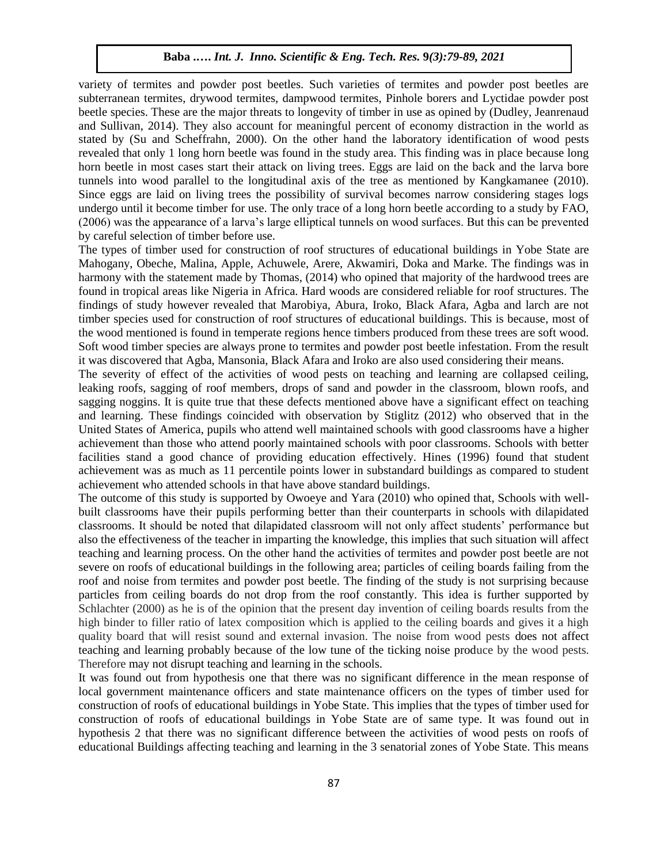variety of termites and powder post beetles. Such varieties of termites and powder post beetles are subterranean termites, drywood termites, dampwood termites, Pinhole borers and Lyctidae powder post beetle species. These are the major threats to longevity of timber in use as opined by (Dudley, Jeanrenaud and Sullivan, 2014). They also account for meaningful percent of economy distraction in the world as stated by (Su and Scheffrahn, 2000). On the other hand the laboratory identification of wood pests revealed that only 1 long horn beetle was found in the study area. This finding was in place because long horn beetle in most cases start their attack on living trees. Eggs are laid on the back and the larva bore tunnels into wood parallel to the longitudinal axis of the tree as mentioned by Kangkamanee (2010). Since eggs are laid on living trees the possibility of survival becomes narrow considering stages logs undergo until it become timber for use. The only trace of a long horn beetle according to a study by FAO, (2006) was the appearance of a larva's large elliptical tunnels on wood surfaces. But this can be prevented by careful selection of timber before use.

The types of timber used for construction of roof structures of educational buildings in Yobe State are Mahogany, Obeche, Malina, Apple, Achuwele, Arere, Akwamiri, Doka and Marke. The findings was in harmony with the statement made by Thomas, (2014) who opined that majority of the hardwood trees are found in tropical areas like Nigeria in Africa. Hard woods are considered reliable for roof structures. The findings of study however revealed that Marobiya, Abura, Iroko, Black Afara, Agba and larch are not timber species used for construction of roof structures of educational buildings. This is because, most of the wood mentioned is found in temperate regions hence timbers produced from these trees are soft wood. Soft wood timber species are always prone to termites and powder post beetle infestation. From the result it was discovered that Agba, Mansonia, Black Afara and Iroko are also used considering their means.

The severity of effect of the activities of wood pests on teaching and learning are collapsed ceiling, leaking roofs, sagging of roof members, drops of sand and powder in the classroom, blown roofs, and sagging noggins. It is quite true that these defects mentioned above have a significant effect on teaching and learning. These findings coincided with observation by Stiglitz (2012) who observed that in the United States of America, pupils who attend well maintained schools with good classrooms have a higher achievement than those who attend poorly maintained schools with poor classrooms. Schools with better facilities stand a good chance of providing education effectively. Hines (1996) found that student achievement was as much as 11 percentile points lower in substandard buildings as compared to student achievement who attended schools in that have above standard buildings.

The outcome of this study is supported by Owoeye and Yara (2010) who opined that, Schools with wellbuilt classrooms have their pupils performing better than their counterparts in schools with dilapidated classrooms. It should be noted that dilapidated classroom will not only affect students' performance but also the effectiveness of the teacher in imparting the knowledge, this implies that such situation will affect teaching and learning process. On the other hand the activities of termites and powder post beetle are not severe on roofs of educational buildings in the following area; particles of ceiling boards failing from the roof and noise from termites and powder post beetle. The finding of the study is not surprising because particles from ceiling boards do not drop from the roof constantly. This idea is further supported by Schlachter (2000) as he is of the opinion that the present day invention of ceiling boards results from the high binder to filler ratio of latex composition which is applied to the ceiling boards and gives it a high quality board that will resist sound and external invasion. The noise from wood pests does not affect teaching and learning probably because of the low tune of the ticking noise produce by the wood pests. Therefore may not disrupt teaching and learning in the schools.

It was found out from hypothesis one that there was no significant difference in the mean response of local government maintenance officers and state maintenance officers on the types of timber used for construction of roofs of educational buildings in Yobe State. This implies that the types of timber used for construction of roofs of educational buildings in Yobe State are of same type. It was found out in hypothesis 2 that there was no significant difference between the activities of wood pests on roofs of educational Buildings affecting teaching and learning in the 3 senatorial zones of Yobe State. This means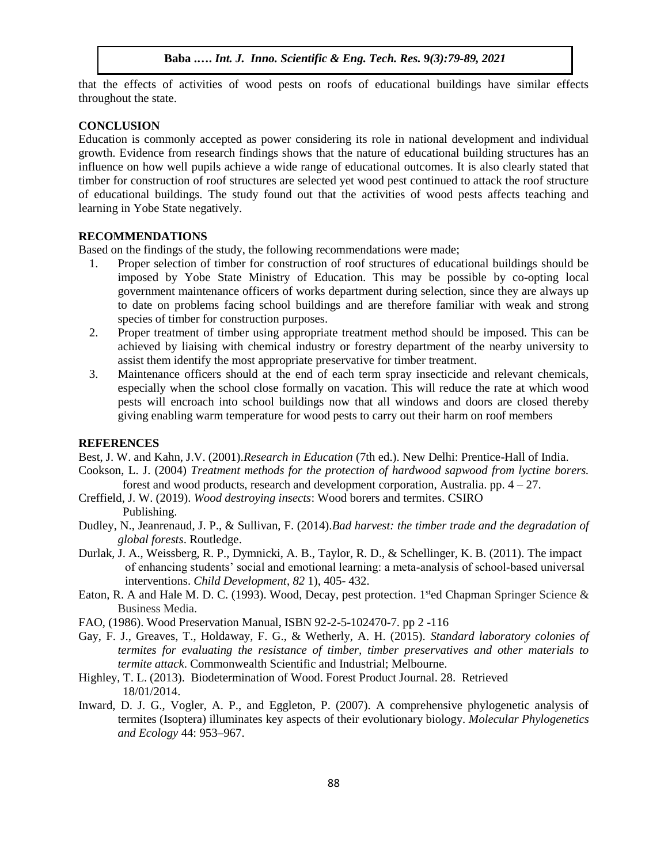that the effects of activities of wood pests on roofs of educational buildings have similar effects throughout the state.

# **CONCLUSION**

Education is commonly accepted as power considering its role in national development and individual growth. Evidence from research findings shows that the nature of educational building structures has an influence on how well pupils achieve a wide range of educational outcomes. It is also clearly stated that timber for construction of roof structures are selected yet wood pest continued to attack the roof structure of educational buildings. The study found out that the activities of wood pests affects teaching and learning in Yobe State negatively.

#### **RECOMMENDATIONS**

Based on the findings of the study, the following recommendations were made;

- 1. Proper selection of timber for construction of roof structures of educational buildings should be imposed by Yobe State Ministry of Education. This may be possible by co-opting local government maintenance officers of works department during selection, since they are always up to date on problems facing school buildings and are therefore familiar with weak and strong species of timber for construction purposes.
- 2. Proper treatment of timber using appropriate treatment method should be imposed. This can be achieved by liaising with chemical industry or forestry department of the nearby university to assist them identify the most appropriate preservative for timber treatment.
- 3. Maintenance officers should at the end of each term spray insecticide and relevant chemicals, especially when the school close formally on vacation. This will reduce the rate at which wood pests will encroach into school buildings now that all windows and doors are closed thereby giving enabling warm temperature for wood pests to carry out their harm on roof members

#### **REFERENCES**

Best, J. W. and Kahn, J.V. (2001).*Research in Education* (7th ed.). New Delhi: Prentice-Hall of India.

- Cookson, L. J. (2004) *Treatment methods for the protection of hardwood sapwood from lyctine borers.*  forest and wood products, research and development corporation, Australia. pp. 4 – 27.
- Creffield, J. W. (2019). *Wood destroying insects*: Wood borers and termites. CSIRO Publishing.
- Dudley, N., Jeanrenaud, J. P., & Sullivan, F. (2014).*Bad harvest: the timber trade and the degradation of global forests*. Routledge.
- Durlak, J. A., Weissberg, R. P., Dymnicki, A. B., Taylor, R. D., & Schellinger, K. B. (2011). The impact of enhancing students' social and emotional learning: a meta‐analysis of school‐based universal interventions. *Child Development*, *82* 1), 405- 432.
- Eaton, R. A and Hale M. D. C. (1993). Wood, Decay, pest protection. 1<sup>st</sup>ed Chapman Springer Science & Business Media.
- FAO, (1986). Wood Preservation Manual, ISBN 92-2-5-102470-7. pp 2 -116
- Gay, F. J., Greaves, T., Holdaway, F. G., & Wetherly, A. H. (2015). *Standard laboratory colonies of termites for evaluating the resistance of timber, timber preservatives and other materials to termite attack*. Commonwealth Scientific and Industrial; Melbourne.
- Highley, T. L. (2013). Biodetermination of Wood. Forest Product Journal. 28. Retrieved 18/01/2014.
- Inward, D. J. G., Vogler, A. P., and Eggleton, P. (2007). A comprehensive phylogenetic analysis of termites (Isoptera) illuminates key aspects of their evolutionary biology. *Molecular Phylogenetics and Ecology* 44: 953–967.